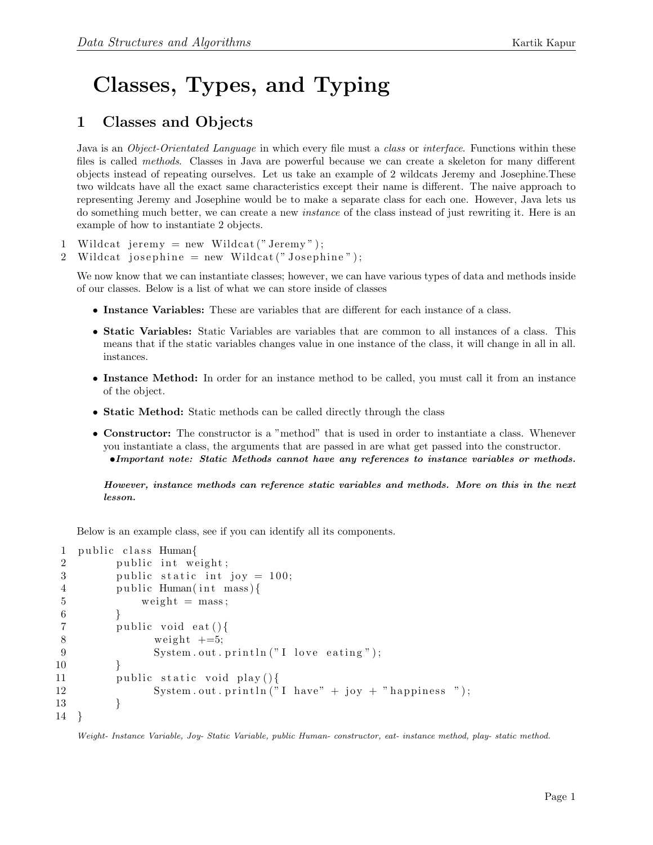## Classes, Types, and Typing

## 1 Classes and Objects

Java is an *Object-Orientated Language* in which every file must a *class* or *interface*. Functions within these files is called methods. Classes in Java are powerful because we can create a skeleton for many different objects instead of repeating ourselves. Let us take an example of 2 wildcats Jeremy and Josephine.These two wildcats have all the exact same characteristics except their name is different. The naive approach to representing Jeremy and Josephine would be to make a separate class for each one. However, Java lets us do something much better, we can create a new instance of the class instead of just rewriting it. Here is an example of how to instantiate 2 objects.

1 Wildcat jeremy  $=$  new Wildcat ("Jeremy");

2 Wildcat josephine = new Wildcat("Josephine");

We now know that we can instantiate classes; however, we can have various types of data and methods inside of our classes. Below is a list of what we can store inside of classes

- Instance Variables: These are variables that are different for each instance of a class.
- Static Variables: Static Variables are variables that are common to all instances of a class. This means that if the static variables changes value in one instance of the class, it will change in all in all. instances.
- Instance Method: In order for an instance method to be called, you must call it from an instance of the object.
- Static Method: Static methods can be called directly through the class
- Constructor: The constructor is a "method" that is used in order to instantiate a class. Whenever you instantiate a class, the arguments that are passed in are what get passed into the constructor. •Important note: Static Methods cannot have any references to instance variables or methods.

However, instance methods can reference static variables and methods. More on this in the next lesson.

Below is an example class, see if you can identify all its components.

```
1 public class Human{
2 public int weight;
3 public static int joy = 100;
4 public Human(int mass){
5 \qquad \text{weight} = \text{mass};
6 }
7 public void eat () {
8 weight +=5;9 System.out.println("I love eating");
10 }
11 public static void play(){
12 System . out . println ("I have" + joy + "happiness");
13 }
14 }
```
Weight- Instance Variable, Joy- Static Variable, public Human- constructor, eat- instance method, play- static method.